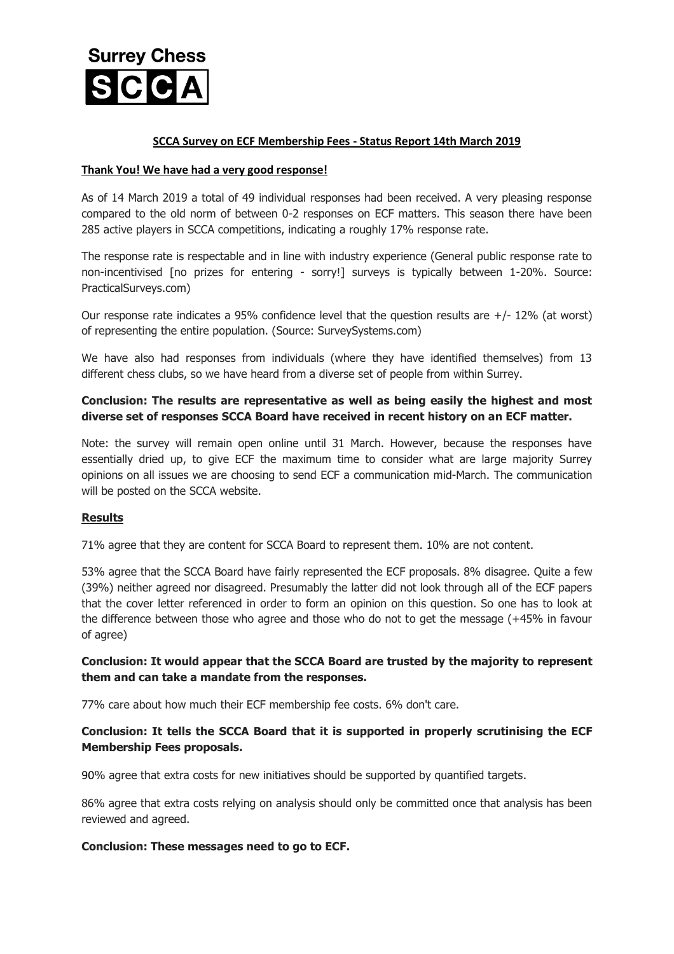

### **SCCA Survey on ECF Membership Fees - Status Report 14th March 2019**

#### **Thank You! We have had a very good response!**

As of 14 March 2019 a total of 49 individual responses had been received. A very pleasing response compared to the old norm of between 0-2 responses on ECF matters. This season there have been 285 active players in SCCA competitions, indicating a roughly 17% response rate.

The response rate is respectable and in line with industry experience (General public response rate to non-incentivised [no prizes for entering - sorry!] surveys is typically between 1-20%. Source: PracticalSurveys.com)

Our response rate indicates a 95% confidence level that the question results are  $+/- 12%$  (at worst) of representing the entire population. (Source: SurveySystems.com)

We have also had responses from individuals (where they have identified themselves) from 13 different chess clubs, so we have heard from a diverse set of people from within Surrey.

# **Conclusion: The results are representative as well as being easily the highest and most diverse set of responses SCCA Board have received in recent history on an ECF matter.**

Note: the survey will remain open online until 31 March. However, because the responses have essentially dried up, to give ECF the maximum time to consider what are large majority Surrey opinions on all issues we are choosing to send ECF a communication mid-March. The communication will be posted on the SCCA website.

### **Results**

71% agree that they are content for SCCA Board to represent them. 10% are not content.

53% agree that the SCCA Board have fairly represented the ECF proposals. 8% disagree. Quite a few (39%) neither agreed nor disagreed. Presumably the latter did not look through all of the ECF papers that the cover letter referenced in order to form an opinion on this question. So one has to look at the difference between those who agree and those who do not to get the message (+45% in favour of agree)

### **Conclusion: It would appear that the SCCA Board are trusted by the majority to represent them and can take a mandate from the responses.**

77% care about how much their ECF membership fee costs. 6% don't care.

# **Conclusion: It tells the SCCA Board that it is supported in properly scrutinising the ECF Membership Fees proposals.**

90% agree that extra costs for new initiatives should be supported by quantified targets.

86% agree that extra costs relying on analysis should only be committed once that analysis has been reviewed and agreed.

### **Conclusion: These messages need to go to ECF.**